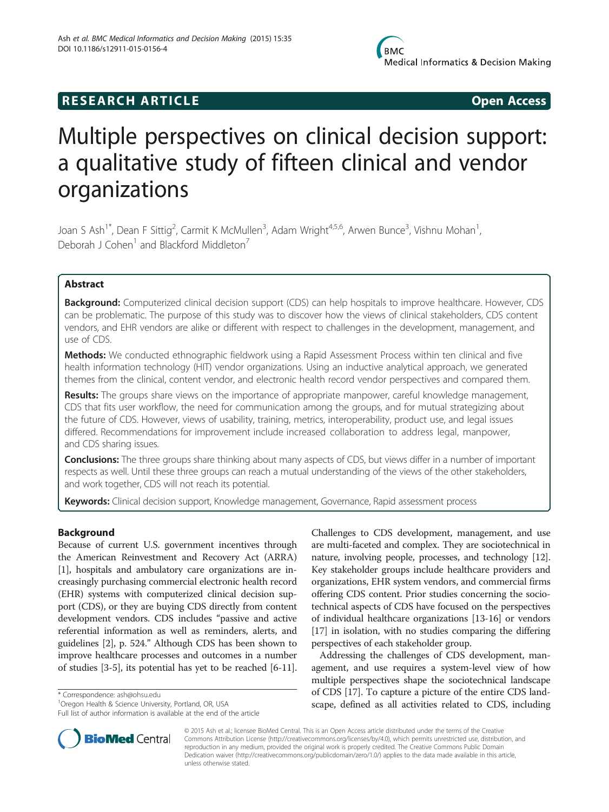# **RESEARCH ARTICLE Example 2014 CONSIDERING CONSIDERING CONSIDERING CONSIDERING CONSIDERING CONSIDERING CONSIDERING CONSIDERING CONSIDERING CONSIDERING CONSIDERING CONSIDERING CONSIDERING CONSIDERING CONSIDERING CONSIDE**

# Multiple perspectives on clinical decision support: a qualitative study of fifteen clinical and vendor organizations

Joan S Ash<sup>1\*</sup>, Dean F Sittig<sup>2</sup>, Carmit K McMullen<sup>3</sup>, Adam Wright<sup>4,5,6</sup>, Arwen Bunce<sup>3</sup>, Vishnu Mohan<sup>1</sup> , Deborah J Cohen<sup>1</sup> and Blackford Middleton<sup>7</sup>

# Abstract

Background: Computerized clinical decision support (CDS) can help hospitals to improve healthcare. However, CDS can be problematic. The purpose of this study was to discover how the views of clinical stakeholders, CDS content vendors, and EHR vendors are alike or different with respect to challenges in the development, management, and use of CDS.

Methods: We conducted ethnographic fieldwork using a Rapid Assessment Process within ten clinical and five health information technology (HIT) vendor organizations. Using an inductive analytical approach, we generated themes from the clinical, content vendor, and electronic health record vendor perspectives and compared them.

Results: The groups share views on the importance of appropriate manpower, careful knowledge management, CDS that fits user workflow, the need for communication among the groups, and for mutual strategizing about the future of CDS. However, views of usability, training, metrics, interoperability, product use, and legal issues differed. Recommendations for improvement include increased collaboration to address legal, manpower, and CDS sharing issues.

**Conclusions:** The three groups share thinking about many aspects of CDS, but views differ in a number of important respects as well. Until these three groups can reach a mutual understanding of the views of the other stakeholders, and work together, CDS will not reach its potential.

Keywords: Clinical decision support, Knowledge management, Governance, Rapid assessment process

# Background

Because of current U.S. government incentives through the American Reinvestment and Recovery Act (ARRA) [[1\]](#page-10-0), hospitals and ambulatory care organizations are increasingly purchasing commercial electronic health record (EHR) systems with computerized clinical decision support (CDS), or they are buying CDS directly from content development vendors. CDS includes "passive and active referential information as well as reminders, alerts, and guidelines [\[2](#page-10-0)], p. 524." Although CDS has been shown to improve healthcare processes and outcomes in a number of studies [[3-5\]](#page-10-0), its potential has yet to be reached [\[6](#page-10-0)-[11](#page-11-0)].

\* Correspondence: [ash@ohsu.edu](mailto:ash@ohsu.edu) <sup>1</sup>

Challenges to CDS development, management, and use are multi-faceted and complex. They are sociotechnical in nature, involving people, processes, and technology [[12](#page-11-0)]. Key stakeholder groups include healthcare providers and organizations, EHR system vendors, and commercial firms offering CDS content. Prior studies concerning the sociotechnical aspects of CDS have focused on the perspectives of individual healthcare organizations [[13](#page-11-0)-[16\]](#page-11-0) or vendors [[17](#page-11-0)] in isolation, with no studies comparing the differing perspectives of each stakeholder group.

Addressing the challenges of CDS development, management, and use requires a system-level view of how multiple perspectives shape the sociotechnical landscape of CDS [\[17\]](#page-11-0). To capture a picture of the entire CDS landscape, defined as all activities related to CDS, including



© 2015 Ash et al.; licensee BioMed Central. This is an Open Access article distributed under the terms of the Creative Commons Attribution License [\(http://creativecommons.org/licenses/by/4.0\)](http://creativecommons.org/licenses/by/4.0), which permits unrestricted use, distribution, and reproduction in any medium, provided the original work is properly credited. The Creative Commons Public Domain Dedication waiver [\(http://creativecommons.org/publicdomain/zero/1.0/](http://creativecommons.org/publicdomain/zero/1.0/)) applies to the data made available in this article, unless otherwise stated.

<sup>&</sup>lt;sup>1</sup> Oregon Health & Science University, Portland, OR, USA

Full list of author information is available at the end of the article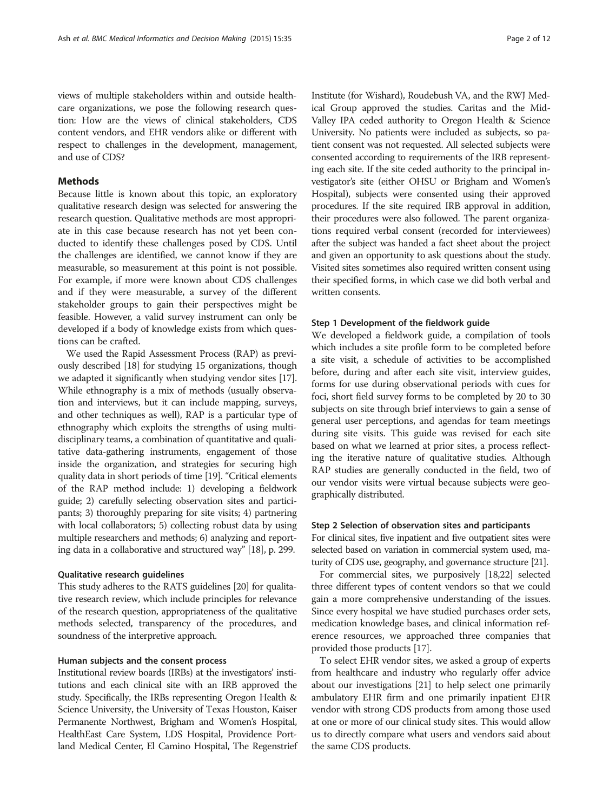views of multiple stakeholders within and outside healthcare organizations, we pose the following research question: How are the views of clinical stakeholders, CDS content vendors, and EHR vendors alike or different with respect to challenges in the development, management, and use of CDS?

# **Methods**

Because little is known about this topic, an exploratory qualitative research design was selected for answering the research question. Qualitative methods are most appropriate in this case because research has not yet been conducted to identify these challenges posed by CDS. Until the challenges are identified, we cannot know if they are measurable, so measurement at this point is not possible. For example, if more were known about CDS challenges and if they were measurable, a survey of the different stakeholder groups to gain their perspectives might be feasible. However, a valid survey instrument can only be developed if a body of knowledge exists from which questions can be crafted.

We used the Rapid Assessment Process (RAP) as previously described [\[18\]](#page-11-0) for studying 15 organizations, though we adapted it significantly when studying vendor sites [\[17](#page-11-0)]. While ethnography is a mix of methods (usually observation and interviews, but it can include mapping, surveys, and other techniques as well), RAP is a particular type of ethnography which exploits the strengths of using multidisciplinary teams, a combination of quantitative and qualitative data-gathering instruments, engagement of those inside the organization, and strategies for securing high quality data in short periods of time [\[19\]](#page-11-0). "Critical elements of the RAP method include: 1) developing a fieldwork guide; 2) carefully selecting observation sites and participants; 3) thoroughly preparing for site visits; 4) partnering with local collaborators; 5) collecting robust data by using multiple researchers and methods; 6) analyzing and reporting data in a collaborative and structured way" [\[18\]](#page-11-0), p. 299.

## Qualitative research guidelines

This study adheres to the RATS guidelines [\[20\]](#page-11-0) for qualitative research review, which include principles for relevance of the research question, appropriateness of the qualitative methods selected, transparency of the procedures, and soundness of the interpretive approach.

# Human subjects and the consent process

Institutional review boards (IRBs) at the investigators' institutions and each clinical site with an IRB approved the study. Specifically, the IRBs representing Oregon Health & Science University, the University of Texas Houston, Kaiser Permanente Northwest, Brigham and Women's Hospital, HealthEast Care System, LDS Hospital, Providence Portland Medical Center, El Camino Hospital, The Regenstrief Institute (for Wishard), Roudebush VA, and the RWJ Medical Group approved the studies. Caritas and the Mid-Valley IPA ceded authority to Oregon Health & Science University. No patients were included as subjects, so patient consent was not requested. All selected subjects were consented according to requirements of the IRB representing each site. If the site ceded authority to the principal investigator's site (either OHSU or Brigham and Women's Hospital), subjects were consented using their approved procedures. If the site required IRB approval in addition, their procedures were also followed. The parent organizations required verbal consent (recorded for interviewees) after the subject was handed a fact sheet about the project and given an opportunity to ask questions about the study. Visited sites sometimes also required written consent using their specified forms, in which case we did both verbal and written consents.

# Step 1 Development of the fieldwork guide

We developed a fieldwork guide, a compilation of tools which includes a site profile form to be completed before a site visit, a schedule of activities to be accomplished before, during and after each site visit, interview guides, forms for use during observational periods with cues for foci, short field survey forms to be completed by 20 to 30 subjects on site through brief interviews to gain a sense of general user perceptions, and agendas for team meetings during site visits. This guide was revised for each site based on what we learned at prior sites, a process reflecting the iterative nature of qualitative studies. Although RAP studies are generally conducted in the field, two of our vendor visits were virtual because subjects were geographically distributed.

#### Step 2 Selection of observation sites and participants

For clinical sites, five inpatient and five outpatient sites were selected based on variation in commercial system used, maturity of CDS use, geography, and governance structure [\[21\]](#page-11-0).

For commercial sites, we purposively [\[18,22\]](#page-11-0) selected three different types of content vendors so that we could gain a more comprehensive understanding of the issues. Since every hospital we have studied purchases order sets, medication knowledge bases, and clinical information reference resources, we approached three companies that provided those products [[17](#page-11-0)].

To select EHR vendor sites, we asked a group of experts from healthcare and industry who regularly offer advice about our investigations [\[21\]](#page-11-0) to help select one primarily ambulatory EHR firm and one primarily inpatient EHR vendor with strong CDS products from among those used at one or more of our clinical study sites. This would allow us to directly compare what users and vendors said about the same CDS products.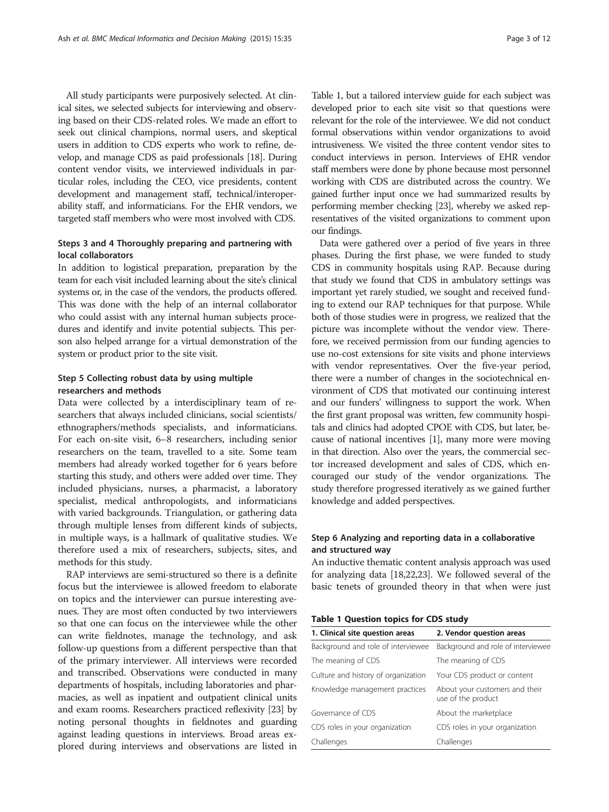All study participants were purposively selected. At clinical sites, we selected subjects for interviewing and observing based on their CDS-related roles. We made an effort to seek out clinical champions, normal users, and skeptical users in addition to CDS experts who work to refine, develop, and manage CDS as paid professionals [[18](#page-11-0)]. During content vendor visits, we interviewed individuals in particular roles, including the CEO, vice presidents, content development and management staff, technical/interoperability staff, and informaticians. For the EHR vendors, we targeted staff members who were most involved with CDS.

# Steps 3 and 4 Thoroughly preparing and partnering with local collaborators

In addition to logistical preparation, preparation by the team for each visit included learning about the site's clinical systems or, in the case of the vendors, the products offered. This was done with the help of an internal collaborator who could assist with any internal human subjects procedures and identify and invite potential subjects. This person also helped arrange for a virtual demonstration of the system or product prior to the site visit.

# Step 5 Collecting robust data by using multiple researchers and methods

Data were collected by a interdisciplinary team of researchers that always included clinicians, social scientists/ ethnographers/methods specialists, and informaticians. For each on-site visit, 6–8 researchers, including senior researchers on the team, travelled to a site. Some team members had already worked together for 6 years before starting this study, and others were added over time. They included physicians, nurses, a pharmacist, a laboratory specialist, medical anthropologists, and informaticians with varied backgrounds. Triangulation, or gathering data through multiple lenses from different kinds of subjects, in multiple ways, is a hallmark of qualitative studies. We therefore used a mix of researchers, subjects, sites, and methods for this study.

RAP interviews are semi-structured so there is a definite focus but the interviewee is allowed freedom to elaborate on topics and the interviewer can pursue interesting avenues. They are most often conducted by two interviewers so that one can focus on the interviewee while the other can write fieldnotes, manage the technology, and ask follow-up questions from a different perspective than that of the primary interviewer. All interviews were recorded and transcribed. Observations were conducted in many departments of hospitals, including laboratories and pharmacies, as well as inpatient and outpatient clinical units and exam rooms. Researchers practiced reflexivity [\[23\]](#page-11-0) by noting personal thoughts in fieldnotes and guarding against leading questions in interviews. Broad areas explored during interviews and observations are listed in

Table 1, but a tailored interview guide for each subject was developed prior to each site visit so that questions were relevant for the role of the interviewee. We did not conduct formal observations within vendor organizations to avoid intrusiveness. We visited the three content vendor sites to conduct interviews in person. Interviews of EHR vendor staff members were done by phone because most personnel working with CDS are distributed across the country. We gained further input once we had summarized results by performing member checking [\[23\]](#page-11-0), whereby we asked representatives of the visited organizations to comment upon our findings.

Data were gathered over a period of five years in three phases. During the first phase, we were funded to study CDS in community hospitals using RAP. Because during that study we found that CDS in ambulatory settings was important yet rarely studied, we sought and received funding to extend our RAP techniques for that purpose. While both of those studies were in progress, we realized that the picture was incomplete without the vendor view. Therefore, we received permission from our funding agencies to use no-cost extensions for site visits and phone interviews with vendor representatives. Over the five-year period, there were a number of changes in the sociotechnical environment of CDS that motivated our continuing interest and our funders' willingness to support the work. When the first grant proposal was written, few community hospitals and clinics had adopted CPOE with CDS, but later, because of national incentives [[1\]](#page-10-0), many more were moving in that direction. Also over the years, the commercial sector increased development and sales of CDS, which encouraged our study of the vendor organizations. The study therefore progressed iteratively as we gained further knowledge and added perspectives.

# Step 6 Analyzing and reporting data in a collaborative and structured way

An inductive thematic content analysis approach was used for analyzing data [\[18,22,23](#page-11-0)]. We followed several of the basic tenets of grounded theory in that when were just

|  | <b>Table 1 Question topics for CDS study</b> |  |  |  |
|--|----------------------------------------------|--|--|--|
|--|----------------------------------------------|--|--|--|

| 1. Clinical site question areas     | 2. Vendor question areas                             |
|-------------------------------------|------------------------------------------------------|
| Background and role of interviewee  | Background and role of interviewee                   |
| The meaning of CDS                  | The meaning of CDS                                   |
| Culture and history of organization | Your CDS product or content                          |
| Knowledge management practices      | About your customers and their<br>use of the product |
| Governance of CDS                   | About the marketplace                                |
| CDS roles in your organization      | CDS roles in your organization                       |
| Challenges                          | Challenges                                           |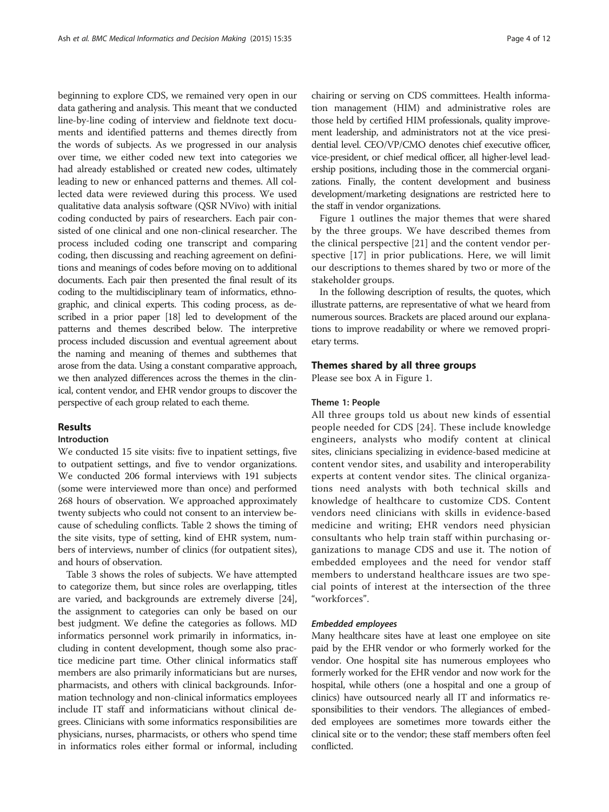beginning to explore CDS, we remained very open in our data gathering and analysis. This meant that we conducted line-by-line coding of interview and fieldnote text documents and identified patterns and themes directly from the words of subjects. As we progressed in our analysis over time, we either coded new text into categories we had already established or created new codes, ultimately leading to new or enhanced patterns and themes. All collected data were reviewed during this process. We used qualitative data analysis software (QSR NVivo) with initial coding conducted by pairs of researchers. Each pair consisted of one clinical and one non-clinical researcher. The process included coding one transcript and comparing coding, then discussing and reaching agreement on definitions and meanings of codes before moving on to additional documents. Each pair then presented the final result of its coding to the multidisciplinary team of informatics, ethnographic, and clinical experts. This coding process, as described in a prior paper [\[18\]](#page-11-0) led to development of the patterns and themes described below. The interpretive process included discussion and eventual agreement about the naming and meaning of themes and subthemes that arose from the data. Using a constant comparative approach, we then analyzed differences across the themes in the clinical, content vendor, and EHR vendor groups to discover the perspective of each group related to each theme.

# Results

# Introduction

We conducted 15 site visits: five to inpatient settings, five to outpatient settings, and five to vendor organizations. We conducted 206 formal interviews with 191 subjects (some were interviewed more than once) and performed 268 hours of observation. We approached approximately twenty subjects who could not consent to an interview because of scheduling conflicts. Table [2](#page-4-0) shows the timing of the site visits, type of setting, kind of EHR system, numbers of interviews, number of clinics (for outpatient sites), and hours of observation.

Table [3](#page-6-0) shows the roles of subjects. We have attempted to categorize them, but since roles are overlapping, titles are varied, and backgrounds are extremely diverse [[24](#page-11-0)], the assignment to categories can only be based on our best judgment. We define the categories as follows. MD informatics personnel work primarily in informatics, including in content development, though some also practice medicine part time. Other clinical informatics staff members are also primarily informaticians but are nurses, pharmacists, and others with clinical backgrounds. Information technology and non-clinical informatics employees include IT staff and informaticians without clinical degrees. Clinicians with some informatics responsibilities are physicians, nurses, pharmacists, or others who spend time in informatics roles either formal or informal, including

chairing or serving on CDS committees. Health information management (HIM) and administrative roles are those held by certified HIM professionals, quality improvement leadership, and administrators not at the vice presidential level. CEO/VP/CMO denotes chief executive officer, vice-president, or chief medical officer, all higher-level leadership positions, including those in the commercial organizations. Finally, the content development and business development/marketing designations are restricted here to the staff in vendor organizations.

Figure [1](#page-7-0) outlines the major themes that were shared by the three groups. We have described themes from the clinical perspective [[21\]](#page-11-0) and the content vendor perspective [\[17](#page-11-0)] in prior publications. Here, we will limit our descriptions to themes shared by two or more of the stakeholder groups.

In the following description of results, the quotes, which illustrate patterns, are representative of what we heard from numerous sources. Brackets are placed around our explanations to improve readability or where we removed proprietary terms.

# Themes shared by all three groups

Please see box A in Figure [1.](#page-7-0)

# Theme 1: People

All three groups told us about new kinds of essential people needed for CDS [[24](#page-11-0)]. These include knowledge engineers, analysts who modify content at clinical sites, clinicians specializing in evidence-based medicine at content vendor sites, and usability and interoperability experts at content vendor sites. The clinical organizations need analysts with both technical skills and knowledge of healthcare to customize CDS. Content vendors need clinicians with skills in evidence-based medicine and writing; EHR vendors need physician consultants who help train staff within purchasing organizations to manage CDS and use it. The notion of embedded employees and the need for vendor staff members to understand healthcare issues are two special points of interest at the intersection of the three "workforces".

# Embedded employees

Many healthcare sites have at least one employee on site paid by the EHR vendor or who formerly worked for the vendor. One hospital site has numerous employees who formerly worked for the EHR vendor and now work for the hospital, while others (one a hospital and one a group of clinics) have outsourced nearly all IT and informatics responsibilities to their vendors. The allegiances of embedded employees are sometimes more towards either the clinical site or to the vendor; these staff members often feel conflicted.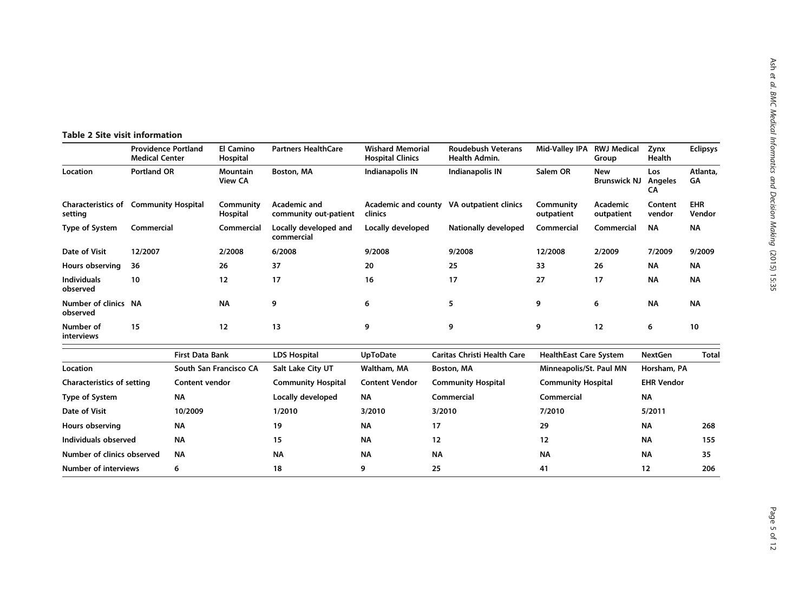# <span id="page-4-0"></span>Table 2 Site visit information

|                                   | <b>Providence Portland</b><br><b>Medical Center</b>     |                        | <b>El Camino</b><br>Hospital | <b>Partners HealthCare</b>            | <b>Wishard Memorial</b><br><b>Hospital Clinics</b> | <b>Roudebush Veterans</b><br>Health Admin. | Mid-Valley IPA RWJ Medical    | Group                             | Zynx<br>Health              | <b>Eclipsys</b>      |  |
|-----------------------------------|---------------------------------------------------------|------------------------|------------------------------|---------------------------------------|----------------------------------------------------|--------------------------------------------|-------------------------------|-----------------------------------|-----------------------------|----------------------|--|
| Location                          | <b>Portland OR</b><br><b>Mountain</b><br><b>View CA</b> |                        |                              | Boston, MA                            | Indianapolis IN                                    | Indianapolis IN                            | Salem OR                      | <b>New</b><br><b>Brunswick NJ</b> | Los<br><b>Angeles</b><br>CA | Atlanta,<br>GΑ       |  |
| setting                           | <b>Characteristics of Community Hospital</b>            |                        | Community<br>Hospital        | Academic and<br>community out-patient | clinics                                            | Academic and county VA outpatient clinics  | Community<br>outpatient       | <b>Academic</b><br>outpatient     | Content<br>vendor           | <b>EHR</b><br>Vendor |  |
| Type of System                    | Commercial                                              |                        | Commercial                   | Locally developed and<br>commercial   | Locally developed                                  | <b>Nationally developed</b>                | Commercial<br>Commercial      |                                   | <b>NA</b>                   | ΝA                   |  |
| Date of Visit                     | 12/2007                                                 |                        | 2/2008                       | 6/2008                                | 9/2008                                             | 9/2008                                     | 12/2008<br>2/2009             |                                   | 7/2009                      | 9/2009               |  |
| Hours observing                   | 36                                                      | 26                     |                              | 37                                    | 20                                                 | 25                                         | 33                            | 26                                | <b>NA</b>                   | ΝA                   |  |
| <b>Individuals</b><br>observed    | 12<br>10                                                |                        |                              | 17                                    | 16                                                 | 17                                         | 17<br>27                      |                                   | <b>NA</b>                   | <b>NA</b>            |  |
| Number of clinics NA<br>observed  | <b>NA</b>                                               |                        |                              | 9                                     | 6                                                  | 5                                          | 9<br>6                        |                                   | <b>NA</b>                   | <b>NA</b>            |  |
| Number of<br>interviews           | 15                                                      |                        | 12                           | 13                                    | 9                                                  | 9                                          | 9                             | 12                                | 6                           | 10                   |  |
|                                   |                                                         | <b>First Data Bank</b> |                              | <b>LDS Hospital</b>                   | <b>UpToDate</b>                                    | <b>Caritas Christi Health Care</b>         | <b>HealthEast Care System</b> |                                   | <b>NextGen</b>              | Total                |  |
| Location                          |                                                         | South San Francisco CA |                              | Salt Lake City UT                     | Waltham, MA                                        | Boston, MA                                 | Minneapolis/St. Paul MN       |                                   | Horsham, PA                 |                      |  |
| <b>Characteristics of setting</b> |                                                         | <b>Content vendor</b>  |                              | <b>Community Hospital</b>             | <b>Content Vendor</b>                              | <b>Community Hospital</b>                  | <b>Community Hospital</b>     |                                   | <b>EHR Vendor</b>           |                      |  |
| Type of System                    |                                                         | ΝA                     |                              | Locally developed                     | <b>NA</b>                                          | Commercial                                 | Commercial                    |                                   | <b>NA</b>                   |                      |  |
| Date of Visit                     |                                                         | 10/2009                |                              | 1/2010                                | 3/2010                                             | 3/2010                                     | 7/2010                        |                                   | 5/2011                      |                      |  |
| Hours observing                   |                                                         | NΑ                     |                              | 19                                    | <b>NA</b>                                          | 17                                         | 29                            |                                   | ΝA                          | 268                  |  |
| Individuals observed              |                                                         | <b>NA</b>              |                              | 15                                    | <b>NA</b>                                          | 12                                         | 12                            |                                   | ΝA                          | 155                  |  |
| Number of clinics observed        |                                                         | <b>NA</b>              |                              | <b>NA</b>                             | <b>NA</b>                                          | <b>NA</b>                                  | <b>NA</b>                     |                                   | <b>NA</b>                   | 35                   |  |
| <b>Number of interviews</b>       |                                                         | 6                      |                              | 18                                    | 9                                                  | 25                                         | 41                            |                                   | 12                          | 206                  |  |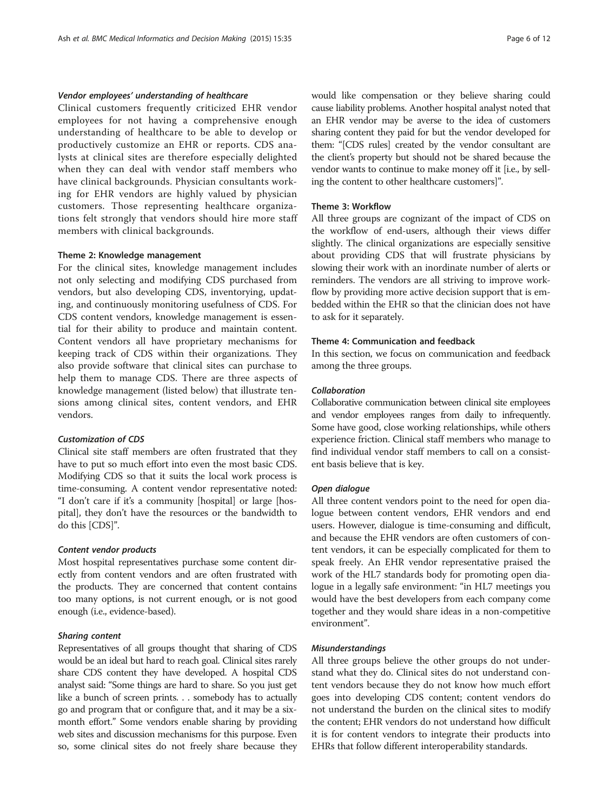Clinical customers frequently criticized EHR vendor employees for not having a comprehensive enough understanding of healthcare to be able to develop or productively customize an EHR or reports. CDS analysts at clinical sites are therefore especially delighted when they can deal with vendor staff members who have clinical backgrounds. Physician consultants working for EHR vendors are highly valued by physician customers. Those representing healthcare organizations felt strongly that vendors should hire more staff members with clinical backgrounds.

## Theme 2: Knowledge management

For the clinical sites, knowledge management includes not only selecting and modifying CDS purchased from vendors, but also developing CDS, inventorying, updating, and continuously monitoring usefulness of CDS. For CDS content vendors, knowledge management is essential for their ability to produce and maintain content. Content vendors all have proprietary mechanisms for keeping track of CDS within their organizations. They also provide software that clinical sites can purchase to help them to manage CDS. There are three aspects of knowledge management (listed below) that illustrate tensions among clinical sites, content vendors, and EHR vendors.

# Customization of CDS

Clinical site staff members are often frustrated that they have to put so much effort into even the most basic CDS. Modifying CDS so that it suits the local work process is time-consuming. A content vendor representative noted: "I don't care if it's a community [hospital] or large [hospital], they don't have the resources or the bandwidth to do this [CDS]".

## Content vendor products

Most hospital representatives purchase some content directly from content vendors and are often frustrated with the products. They are concerned that content contains too many options, is not current enough, or is not good enough (i.e., evidence-based).

#### Sharing content

Representatives of all groups thought that sharing of CDS would be an ideal but hard to reach goal. Clinical sites rarely share CDS content they have developed. A hospital CDS analyst said: "Some things are hard to share. So you just get like a bunch of screen prints. . . somebody has to actually go and program that or configure that, and it may be a sixmonth effort." Some vendors enable sharing by providing web sites and discussion mechanisms for this purpose. Even so, some clinical sites do not freely share because they would like compensation or they believe sharing could cause liability problems. Another hospital analyst noted that an EHR vendor may be averse to the idea of customers sharing content they paid for but the vendor developed for them: "[CDS rules] created by the vendor consultant are the client's property but should not be shared because the vendor wants to continue to make money off it [i.e., by selling the content to other healthcare customers]".

# Theme 3: Workflow

All three groups are cognizant of the impact of CDS on the workflow of end-users, although their views differ slightly. The clinical organizations are especially sensitive about providing CDS that will frustrate physicians by slowing their work with an inordinate number of alerts or reminders. The vendors are all striving to improve workflow by providing more active decision support that is embedded within the EHR so that the clinician does not have to ask for it separately.

# Theme 4: Communication and feedback

In this section, we focus on communication and feedback among the three groups.

# Collaboration

Collaborative communication between clinical site employees and vendor employees ranges from daily to infrequently. Some have good, close working relationships, while others experience friction. Clinical staff members who manage to find individual vendor staff members to call on a consistent basis believe that is key.

#### Open dialogue

All three content vendors point to the need for open dialogue between content vendors, EHR vendors and end users. However, dialogue is time-consuming and difficult, and because the EHR vendors are often customers of content vendors, it can be especially complicated for them to speak freely. An EHR vendor representative praised the work of the HL7 standards body for promoting open dialogue in a legally safe environment: "in HL7 meetings you would have the best developers from each company come together and they would share ideas in a non-competitive environment".

#### Misunderstandings

All three groups believe the other groups do not understand what they do. Clinical sites do not understand content vendors because they do not know how much effort goes into developing CDS content; content vendors do not understand the burden on the clinical sites to modify the content; EHR vendors do not understand how difficult it is for content vendors to integrate their products into EHRs that follow different interoperability standards.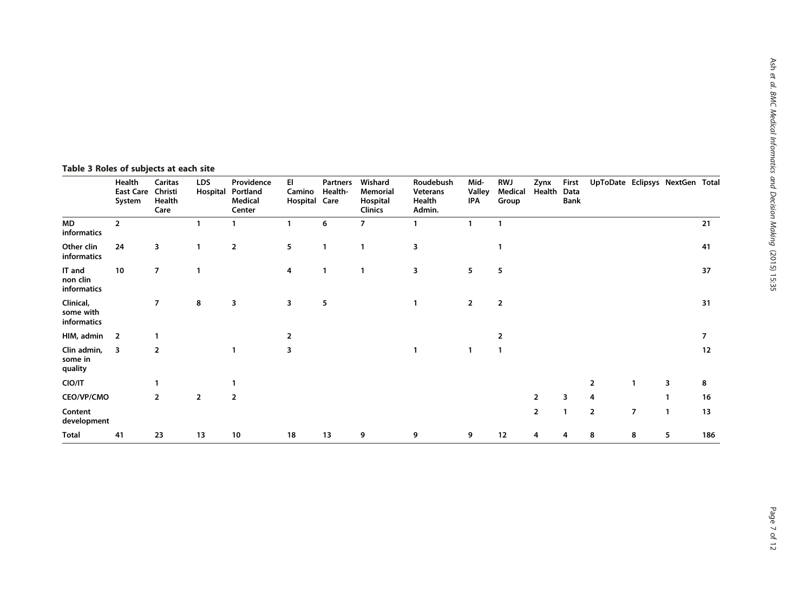# <span id="page-6-0"></span>Table 3 Roles of subjects at each site

|                                       | Health<br><b>East Care</b><br>System | Caritas<br>Christi<br>Health<br>Care | <b>LDS</b><br>Hospital | Providence<br>Portland<br>Medical<br>Center | EI<br>Camino<br>Hospital Care | <b>Partners</b><br>Health- | Wishard<br>Memorial<br>Hospital<br>Clinics | Roudebush<br>Veterans<br>Health<br>Admin. | Mid-<br><b>Valley</b><br>IPA | <b>RWJ</b><br>Medical<br>Group | Zynx<br>Health | First<br>Data<br><b>Bank</b> | UpToDate Eclipsys NextGen Total |                |    |     |
|---------------------------------------|--------------------------------------|--------------------------------------|------------------------|---------------------------------------------|-------------------------------|----------------------------|--------------------------------------------|-------------------------------------------|------------------------------|--------------------------------|----------------|------------------------------|---------------------------------|----------------|----|-----|
| MD<br>informatics                     | $\overline{2}$                       |                                      |                        |                                             | 1                             | 6                          | 7                                          |                                           | 1                            | $\mathbf{1}$                   |                |                              |                                 |                |    | 21  |
| Other clin<br>informatics             | 24                                   | 3                                    | 1                      | $\overline{\mathbf{2}}$                     | 5                             | $\mathbf{1}$               |                                            | 3                                         |                              |                                |                |                              |                                 |                |    | 41  |
| IT and<br>non clin<br>informatics     | 10                                   | $\overline{7}$                       | 1                      |                                             | 4                             | 1                          | 1                                          | 3                                         | 5                            | 5                              |                |                              |                                 |                |    | 37  |
| Clinical,<br>some with<br>informatics |                                      | $\overline{7}$                       | 8                      | 3                                           | 3                             | 5                          |                                            |                                           | $\overline{2}$               | $\overline{\mathbf{2}}$        |                |                              |                                 |                |    | 31  |
| HIM, admin                            | 2                                    |                                      |                        |                                             | $\overline{2}$                |                            |                                            |                                           |                              | 2                              |                |                              |                                 |                |    | 7   |
| Clin admin,<br>some in<br>quality     | 3                                    | $\overline{2}$                       |                        |                                             | 3                             |                            |                                            |                                           |                              | 1                              |                |                              |                                 |                |    | 12  |
| CIO/IT                                |                                      |                                      |                        |                                             |                               |                            |                                            |                                           |                              |                                |                |                              | 2                               | 1              | 3  | 8   |
| CEO/VP/CMO                            |                                      | $\overline{2}$                       | $\overline{2}$         | $\overline{\mathbf{2}}$                     |                               |                            |                                            |                                           |                              |                                | $\overline{2}$ | 3                            | 4                               |                |    | 16  |
| Content<br>development                |                                      |                                      |                        |                                             |                               |                            |                                            |                                           |                              |                                | $\overline{2}$ |                              | $\overline{2}$                  | $\overline{7}$ | -1 | 13  |
| Total                                 | 41                                   | 23                                   | 13                     | 10                                          | 18                            | 13                         | 9                                          | 9                                         | 9                            | 12                             | 4              |                              | 8                               | 8              | 5  | 186 |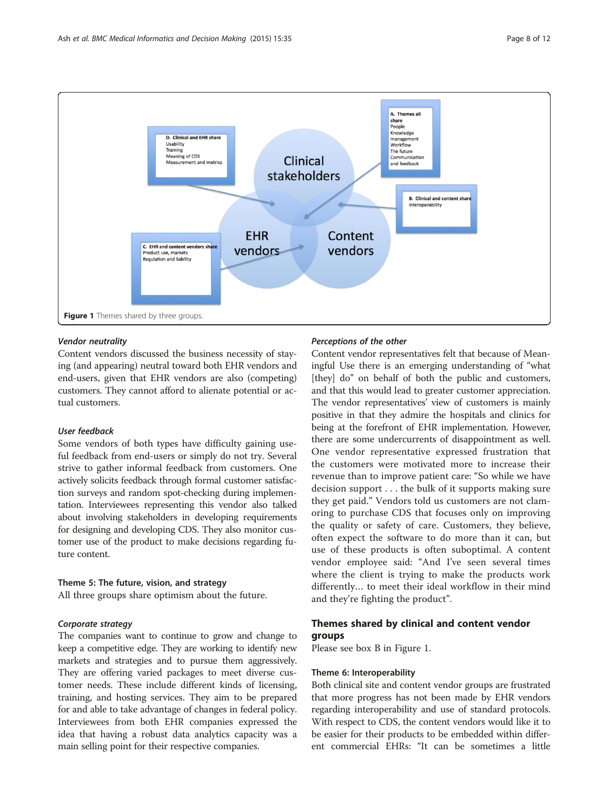<span id="page-7-0"></span>

# Vendor neutrality

Content vendors discussed the business necessity of staying (and appearing) neutral toward both EHR vendors and end-users, given that EHR vendors are also (competing) customers. They cannot afford to alienate potential or actual customers.

# User feedback

Some vendors of both types have difficulty gaining useful feedback from end-users or simply do not try. Several strive to gather informal feedback from customers. One actively solicits feedback through formal customer satisfaction surveys and random spot-checking during implementation. Interviewees representing this vendor also talked about involving stakeholders in developing requirements for designing and developing CDS. They also monitor customer use of the product to make decisions regarding future content.

# Theme 5: The future, vision, and strategy

All three groups share optimism about the future.

#### Corporate strategy

The companies want to continue to grow and change to keep a competitive edge. They are working to identify new markets and strategies and to pursue them aggressively. They are offering varied packages to meet diverse customer needs. These include different kinds of licensing, training, and hosting services. They aim to be prepared for and able to take advantage of changes in federal policy. Interviewees from both EHR companies expressed the idea that having a robust data analytics capacity was a main selling point for their respective companies.

#### Perceptions of the other

Content vendor representatives felt that because of Meaningful Use there is an emerging understanding of "what [they] do" on behalf of both the public and customers, and that this would lead to greater customer appreciation. The vendor representatives' view of customers is mainly positive in that they admire the hospitals and clinics for being at the forefront of EHR implementation. However, there are some undercurrents of disappointment as well. One vendor representative expressed frustration that the customers were motivated more to increase their revenue than to improve patient care: "So while we have decision support . . . the bulk of it supports making sure they get paid." Vendors told us customers are not clamoring to purchase CDS that focuses only on improving the quality or safety of care. Customers, they believe, often expect the software to do more than it can, but use of these products is often suboptimal. A content vendor employee said: "And I've seen several times where the client is trying to make the products work differently… to meet their ideal workflow in their mind and they're fighting the product".

# Themes shared by clinical and content vendor groups

Please see box B in Figure 1.

#### Theme 6: Interoperability

Both clinical site and content vendor groups are frustrated that more progress has not been made by EHR vendors regarding interoperability and use of standard protocols. With respect to CDS, the content vendors would like it to be easier for their products to be embedded within different commercial EHRs: "It can be sometimes a little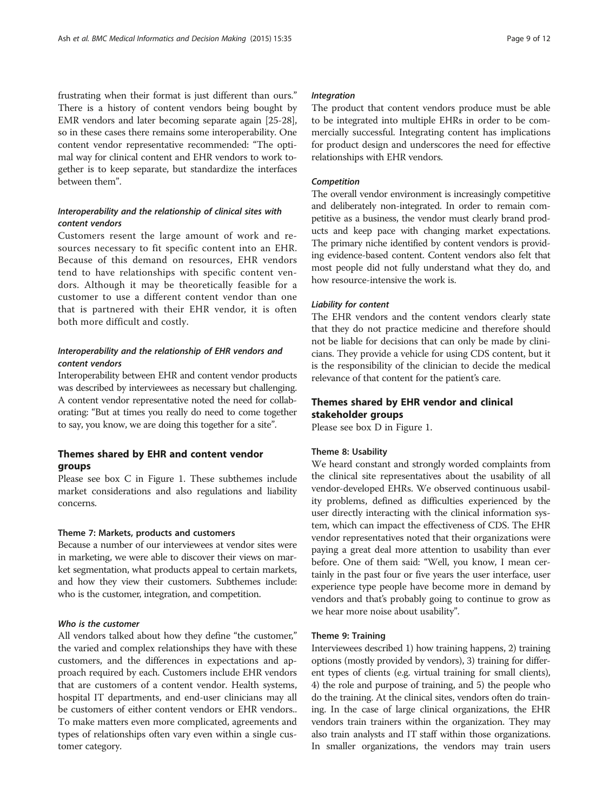frustrating when their format is just different than ours." There is a history of content vendors being bought by EMR vendors and later becoming separate again [[25](#page-11-0)-[28](#page-11-0)], so in these cases there remains some interoperability. One content vendor representative recommended: "The optimal way for clinical content and EHR vendors to work together is to keep separate, but standardize the interfaces between them".

# Interoperability and the relationship of clinical sites with content vendors

Customers resent the large amount of work and resources necessary to fit specific content into an EHR. Because of this demand on resources, EHR vendors tend to have relationships with specific content vendors. Although it may be theoretically feasible for a customer to use a different content vendor than one that is partnered with their EHR vendor, it is often both more difficult and costly.

# Interoperability and the relationship of EHR vendors and content vendors

Interoperability between EHR and content vendor products was described by interviewees as necessary but challenging. A content vendor representative noted the need for collaborating: "But at times you really do need to come together to say, you know, we are doing this together for a site".

# Themes shared by EHR and content vendor groups

Please see box C in Figure [1](#page-7-0). These subthemes include market considerations and also regulations and liability concerns.

#### Theme 7: Markets, products and customers

Because a number of our interviewees at vendor sites were in marketing, we were able to discover their views on market segmentation, what products appeal to certain markets, and how they view their customers. Subthemes include: who is the customer, integration, and competition.

# Who is the customer

All vendors talked about how they define "the customer," the varied and complex relationships they have with these customers, and the differences in expectations and approach required by each. Customers include EHR vendors that are customers of a content vendor. Health systems, hospital IT departments, and end-user clinicians may all be customers of either content vendors or EHR vendors.. To make matters even more complicated, agreements and types of relationships often vary even within a single customer category.

# Integration

The product that content vendors produce must be able to be integrated into multiple EHRs in order to be commercially successful. Integrating content has implications for product design and underscores the need for effective relationships with EHR vendors.

# Competition

The overall vendor environment is increasingly competitive and deliberately non-integrated. In order to remain competitive as a business, the vendor must clearly brand products and keep pace with changing market expectations. The primary niche identified by content vendors is providing evidence-based content. Content vendors also felt that most people did not fully understand what they do, and how resource-intensive the work is.

# Liability for content

The EHR vendors and the content vendors clearly state that they do not practice medicine and therefore should not be liable for decisions that can only be made by clinicians. They provide a vehicle for using CDS content, but it is the responsibility of the clinician to decide the medical relevance of that content for the patient's care.

# Themes shared by EHR vendor and clinical stakeholder groups

Please see box D in Figure [1.](#page-7-0)

# Theme 8: Usability

We heard constant and strongly worded complaints from the clinical site representatives about the usability of all vendor-developed EHRs. We observed continuous usability problems, defined as difficulties experienced by the user directly interacting with the clinical information system, which can impact the effectiveness of CDS. The EHR vendor representatives noted that their organizations were paying a great deal more attention to usability than ever before. One of them said: "Well, you know, I mean certainly in the past four or five years the user interface, user experience type people have become more in demand by vendors and that's probably going to continue to grow as we hear more noise about usability".

# Theme 9: Training

Interviewees described 1) how training happens, 2) training options (mostly provided by vendors), 3) training for different types of clients (e.g. virtual training for small clients), 4) the role and purpose of training, and 5) the people who do the training. At the clinical sites, vendors often do training. In the case of large clinical organizations, the EHR vendors train trainers within the organization. They may also train analysts and IT staff within those organizations. In smaller organizations, the vendors may train users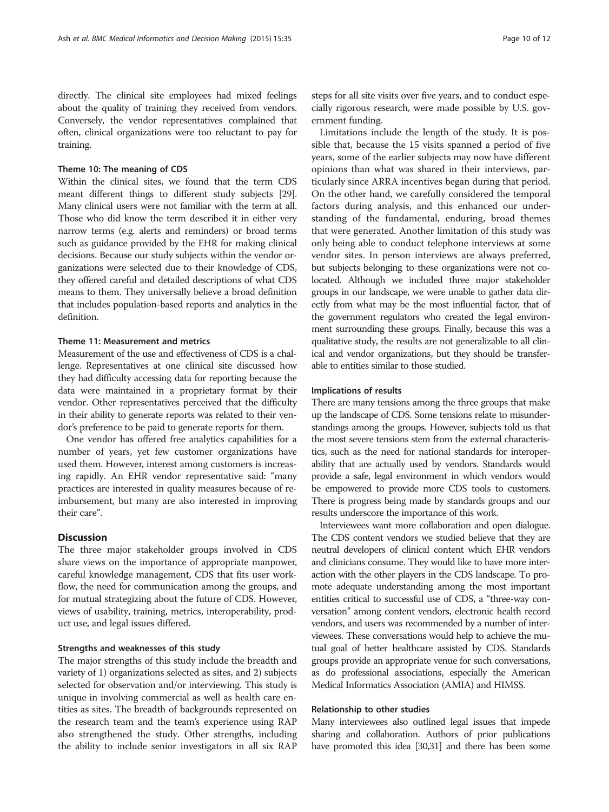directly. The clinical site employees had mixed feelings about the quality of training they received from vendors. Conversely, the vendor representatives complained that often, clinical organizations were too reluctant to pay for training.

## Theme 10: The meaning of CDS

Within the clinical sites, we found that the term CDS meant different things to different study subjects [\[29](#page-11-0)]. Many clinical users were not familiar with the term at all. Those who did know the term described it in either very narrow terms (e.g. alerts and reminders) or broad terms such as guidance provided by the EHR for making clinical decisions. Because our study subjects within the vendor organizations were selected due to their knowledge of CDS, they offered careful and detailed descriptions of what CDS means to them. They universally believe a broad definition that includes population-based reports and analytics in the definition.

# Theme 11: Measurement and metrics

Measurement of the use and effectiveness of CDS is a challenge. Representatives at one clinical site discussed how they had difficulty accessing data for reporting because the data were maintained in a proprietary format by their vendor. Other representatives perceived that the difficulty in their ability to generate reports was related to their vendor's preference to be paid to generate reports for them.

One vendor has offered free analytics capabilities for a number of years, yet few customer organizations have used them. However, interest among customers is increasing rapidly. An EHR vendor representative said: "many practices are interested in quality measures because of reimbursement, but many are also interested in improving their care".

# **Discussion**

The three major stakeholder groups involved in CDS share views on the importance of appropriate manpower, careful knowledge management, CDS that fits user workflow, the need for communication among the groups, and for mutual strategizing about the future of CDS. However, views of usability, training, metrics, interoperability, product use, and legal issues differed.

#### Strengths and weaknesses of this study

The major strengths of this study include the breadth and variety of 1) organizations selected as sites, and 2) subjects selected for observation and/or interviewing. This study is unique in involving commercial as well as health care entities as sites. The breadth of backgrounds represented on the research team and the team's experience using RAP also strengthened the study. Other strengths, including the ability to include senior investigators in all six RAP steps for all site visits over five years, and to conduct especially rigorous research, were made possible by U.S. government funding.

Limitations include the length of the study. It is possible that, because the 15 visits spanned a period of five years, some of the earlier subjects may now have different opinions than what was shared in their interviews, particularly since ARRA incentives began during that period. On the other hand, we carefully considered the temporal factors during analysis, and this enhanced our understanding of the fundamental, enduring, broad themes that were generated. Another limitation of this study was only being able to conduct telephone interviews at some vendor sites. In person interviews are always preferred, but subjects belonging to these organizations were not colocated. Although we included three major stakeholder groups in our landscape, we were unable to gather data directly from what may be the most influential factor, that of the government regulators who created the legal environment surrounding these groups. Finally, because this was a qualitative study, the results are not generalizable to all clinical and vendor organizations, but they should be transferable to entities similar to those studied.

# Implications of results

There are many tensions among the three groups that make up the landscape of CDS. Some tensions relate to misunderstandings among the groups. However, subjects told us that the most severe tensions stem from the external characteristics, such as the need for national standards for interoperability that are actually used by vendors. Standards would provide a safe, legal environment in which vendors would be empowered to provide more CDS tools to customers. There is progress being made by standards groups and our results underscore the importance of this work.

Interviewees want more collaboration and open dialogue. The CDS content vendors we studied believe that they are neutral developers of clinical content which EHR vendors and clinicians consume. They would like to have more interaction with the other players in the CDS landscape. To promote adequate understanding among the most important entities critical to successful use of CDS, a "three-way conversation" among content vendors, electronic health record vendors, and users was recommended by a number of interviewees. These conversations would help to achieve the mutual goal of better healthcare assisted by CDS. Standards groups provide an appropriate venue for such conversations, as do professional associations, especially the American Medical Informatics Association (AMIA) and HIMSS.

# Relationship to other studies

Many interviewees also outlined legal issues that impede sharing and collaboration. Authors of prior publications have promoted this idea [\[30,31](#page-11-0)] and there has been some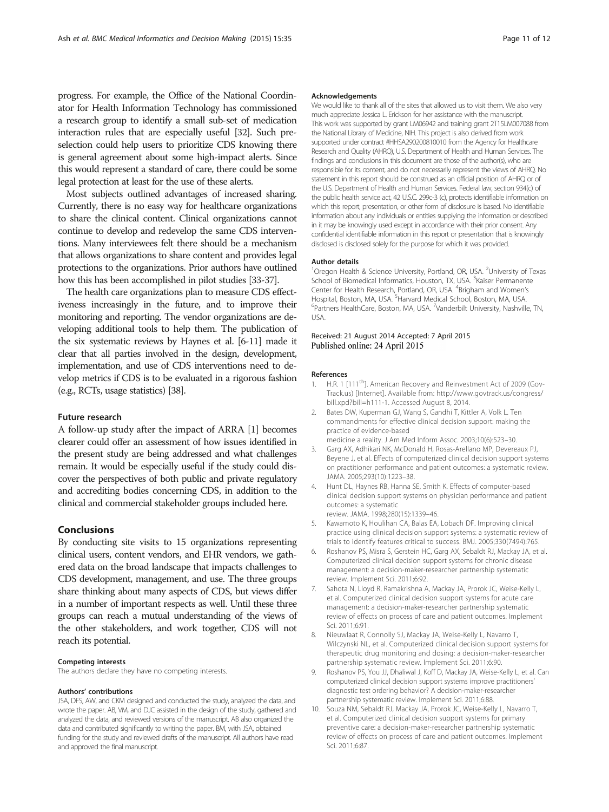<span id="page-10-0"></span>progress. For example, the Office of the National Coordinator for Health Information Technology has commissioned a research group to identify a small sub-set of medication interaction rules that are especially useful [\[32\]](#page-11-0). Such preselection could help users to prioritize CDS knowing there is general agreement about some high-impact alerts. Since this would represent a standard of care, there could be some legal protection at least for the use of these alerts.

Most subjects outlined advantages of increased sharing. Currently, there is no easy way for healthcare organizations to share the clinical content. Clinical organizations cannot continue to develop and redevelop the same CDS interventions. Many interviewees felt there should be a mechanism that allows organizations to share content and provides legal protections to the organizations. Prior authors have outlined how this has been accomplished in pilot studies [\[33-37](#page-11-0)].

The health care organizations plan to measure CDS effectiveness increasingly in the future, and to improve their monitoring and reporting. The vendor organizations are developing additional tools to help them. The publication of the six systematic reviews by Haynes et al. [6-[11\]](#page-11-0) made it clear that all parties involved in the design, development, implementation, and use of CDS interventions need to develop metrics if CDS is to be evaluated in a rigorous fashion (e.g., RCTs, usage statistics) [\[38\]](#page-11-0).

#### Future research

A follow-up study after the impact of ARRA [1] becomes clearer could offer an assessment of how issues identified in the present study are being addressed and what challenges remain. It would be especially useful if the study could discover the perspectives of both public and private regulatory and accrediting bodies concerning CDS, in addition to the clinical and commercial stakeholder groups included here.

## Conclusions

By conducting site visits to 15 organizations representing clinical users, content vendors, and EHR vendors, we gathered data on the broad landscape that impacts challenges to CDS development, management, and use. The three groups share thinking about many aspects of CDS, but views differ in a number of important respects as well. Until these three groups can reach a mutual understanding of the views of the other stakeholders, and work together, CDS will not reach its potential.

#### Competing interests

The authors declare they have no competing interests.

#### Authors' contributions

JSA, DFS, AW, and CKM designed and conducted the study, analyzed the data, and wrote the paper. AB, VM, and DJC assisted in the design of the study, gathered and analyzed the data, and reviewed versions of the manuscript. AB also organized the data and contributed significantly to writing the paper. BM, with JSA, obtained funding for the study and reviewed drafts of the manuscript. All authors have read and approved the final manuscript.

#### Acknowledgements

We would like to thank all of the sites that allowed us to visit them. We also very much appreciate Jessica L. Erickson for her assistance with the manuscript. This work was supported by grant LM06942 and training grant 2T15LM007088 from the National Library of Medicine, NIH. This project is also derived from work supported under contract #HHSA290200810010 from the Agency for Healthcare Research and Quality (AHRQ), U.S. Department of Health and Human Services. The findings and conclusions in this document are those of the author(s), who are responsible for its content, and do not necessarily represent the views of AHRQ. No statement in this report should be construed as an official position of AHRQ or of the U.S. Department of Health and Human Services. Federal law, section 934(c) of the public health service act, 42 U.S.C. 299c-3 (c), protects identifiable information on which this report, presentation, or other form of disclosure is based. No identifiable information about any individuals or entities supplying the information or described in it may be knowingly used except in accordance with their prior consent. Any confidential identifiable information in this report or presentation that is knowingly disclosed is disclosed solely for the purpose for which it was provided.

#### Author details

<sup>1</sup>Oregon Health & Science University, Portland, OR, USA. <sup>2</sup>University of Texas School of Biomedical Informatics, Houston, TX, USA. <sup>3</sup>Kaiser Permanente Center for Health Research, Portland, OR, USA. <sup>4</sup>Brigham and Women's Hospital, Boston, MA, USA. <sup>5</sup>Harvard Medical School, Boston, MA, USA.<br><sup>6</sup>Partners HealthCare, Boston, MA, USA. <sup>7</sup>Vanderbilt University, Nashvill Partners HealthCare, Boston, MA, USA. <sup>7</sup>Vanderbilt University, Nashville, TN, USA.

Received: 21 August 2014 Accepted: 7 April 2015 Published online: 24 April 2015

#### References

- H.R. 1 [111<sup>th</sup>]. American Recovery and Reinvestment Act of 2009 (Gov-Track.us) [Internet]. Available from: [http://www.govtrack.us/congress/](http://www.govtrack.us/congress/bill.xpd?bill=h111-1) [bill.xpd?bill=h111-1.](http://www.govtrack.us/congress/bill.xpd?bill=h111-1) Accessed August 8, 2014.
- 2. Bates DW, Kuperman GJ, Wang S, Gandhi T, Kittler A, Volk L. Ten commandments for effective clinical decision support: making the practice of evidence-based
- medicine a reality. J Am Med Inform Assoc. 2003;10(6):523–30. 3. Garg AX, Adhikari NK, McDonald H, Rosas-Arellano MP, Devereaux PJ, Beyene J, et al. Effects of computerized clinical decision support systems
- on practitioner performance and patient outcomes: a systematic review. JAMA. 2005;293(10):1223–38.
- 4. Hunt DL, Haynes RB, Hanna SE, Smith K. Effects of computer-based clinical decision support systems on physician performance and patient outcomes: a systematic review. JAMA. 1998;280(15):1339–46.
- 5. Kawamoto K, Houlihan CA, Balas EA, Lobach DF. Improving clinical practice using clinical decision support systems: a systematic review of trials to identify features critical to success. BMJ. 2005;330(7494):765.
- 6. Roshanov PS, Misra S, Gerstein HC, Garg AX, Sebaldt RJ, Mackay JA, et al. Computerized clinical decision support systems for chronic disease management: a decision-maker-researcher partnership systematic review. Implement Sci. 2011;6:92.
- 7. Sahota N, Lloyd R, Ramakrishna A, Mackay JA, Prorok JC, Weise-Kelly L, et al. Computerized clinical decision support systems for acute care management: a decision-maker-researcher partnership systematic review of effects on process of care and patient outcomes. Implement Sci. 2011;6:91.
- 8. Nieuwlaat R, Connolly SJ, Mackay JA, Weise-Kelly L, Navarro T, Wilczynski NL, et al. Computerized clinical decision support systems for therapeutic drug monitoring and dosing: a decision-maker-researcher partnership systematic review. Implement Sci. 2011;6:90.
- 9. Roshanov PS, You JJ, Dhaliwal J, Koff D, Mackay JA, Weise-Kelly L, et al. Can computerized clinical decision support systems improve practitioners' diagnostic test ordering behavior? A decision-maker-researcher partnership systematic review. Implement Sci. 2011;6:88.
- 10. Souza NM, Sebaldt RJ, Mackay JA, Prorok JC, Weise-Kelly L, Navarro T, et al. Computerized clinical decision support systems for primary preventive care: a decision-maker-researcher partnership systematic review of effects on process of care and patient outcomes. Implement Sci. 2011;6:87.